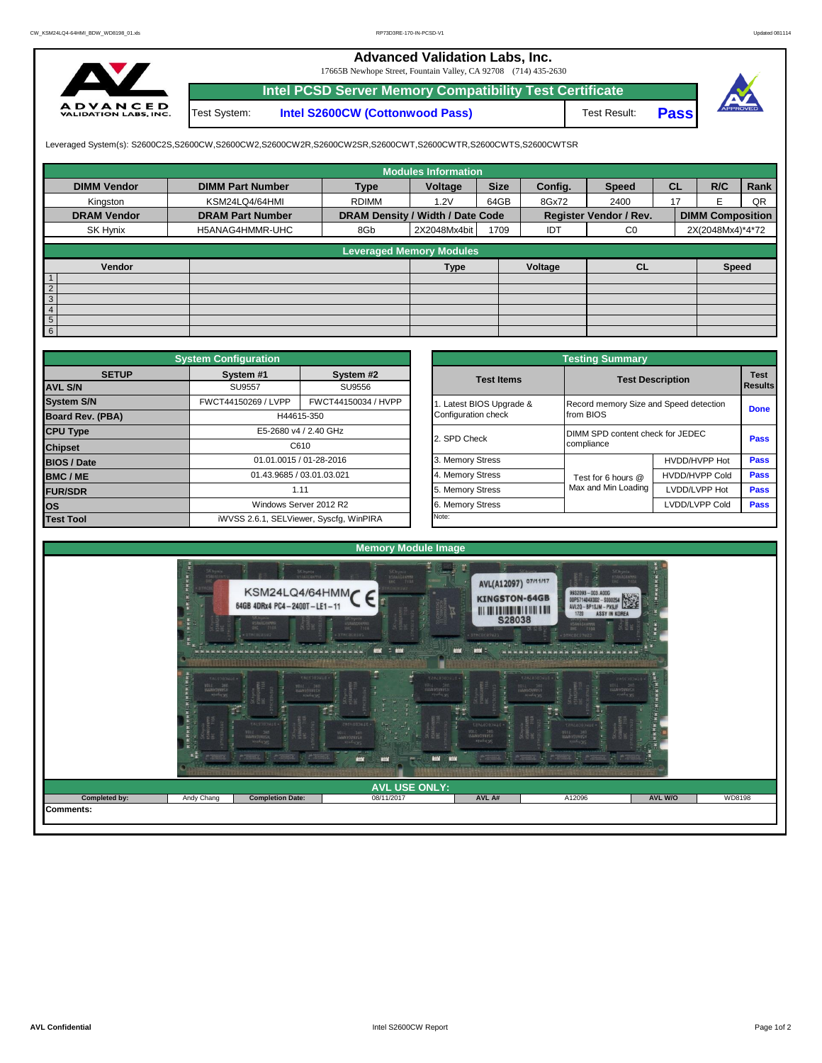## **Advanced Validation Labs, Inc.**

17665B Newhope Street, Fountain Valley, CA 92708 (714) 435-2630



Test System: **Intel S2600CW (Cottonwood Pass) Intel PCSD Server Memory Compatibility Test Certificate**

Test Result: **Pass**



Leveraged System(s): S2600C2S,S2600CW,S2600CW2,S2600CW2R,S2600CW2SR,S2600CWT,S2600CWTR,S2600CWTS,S2600CWTSR

|                    |                         |                                  | <b>Modules Information</b>      |             |         |                               |           |                         |      |
|--------------------|-------------------------|----------------------------------|---------------------------------|-------------|---------|-------------------------------|-----------|-------------------------|------|
| <b>DIMM Vendor</b> | <b>DIMM Part Number</b> | <b>Type</b>                      | Voltage                         | <b>Size</b> | Config. | <b>Speed</b>                  | <b>CL</b> | R/C                     | Rank |
| Kingston           | KSM24LQ4/64HMI          | <b>RDIMM</b>                     | 1.2V                            | 64GB        | 8Gx72   | 2400                          | 17        | F                       | QR   |
| <b>DRAM Vendor</b> | <b>DRAM Part Number</b> | DRAM Density / Width / Date Code |                                 |             |         | <b>Register Vendor / Rev.</b> |           | <b>DIMM Composition</b> |      |
| SK Hynix           | H5ANAG4HMMR-UHC         | 8Gb                              | 2X2048Mx4bit                    | 1709        | IDT     | C <sub>0</sub>                |           | 2X(2048Mx4)*4*72        |      |
|                    |                         |                                  | <b>Leveraged Memory Modules</b> |             |         |                               |           |                         |      |
|                    |                         |                                  |                                 |             |         |                               |           |                         |      |
| Vendor             |                         |                                  | <b>Type</b>                     |             | Voltage | <b>CL</b>                     |           | <b>Speed</b>            |      |
|                    |                         |                                  |                                 |             |         |                               |           |                         |      |
| $\overline{2}$     |                         |                                  |                                 |             |         |                               |           |                         |      |
| $\mathbf{3}$       |                         |                                  |                                 |             |         |                               |           |                         |      |
| 4                  |                         |                                  |                                 |             |         |                               |           |                         |      |
| 5                  |                         |                                  |                                 |             |         |                               |           |                         |      |
| $6\phantom{1}$     |                         |                                  |                                 |             |         |                               |           |                         |      |

|                         | <b>System Configuration</b> |                                         |                       | <b>Testing Summary</b> |                                        |                         |             |  |  |  |  |
|-------------------------|-----------------------------|-----------------------------------------|-----------------------|------------------------|----------------------------------------|-------------------------|-------------|--|--|--|--|
| <b>SETUP</b>            | System #1                   | System #2                               |                       | <b>Test Items</b>      |                                        | <b>Test</b>             |             |  |  |  |  |
| <b>AVL S/N</b>          | <b>SU9557</b>               | SU9556                                  |                       |                        |                                        | <b>Test Description</b> |             |  |  |  |  |
| <b>System S/N</b>       | FWCT44150269 / LVPP         | FWCT44150034 / HVPP                     |                       | Latest BIOS Upgrade &  | Record memory Size and Speed detection |                         | <b>Done</b> |  |  |  |  |
| <b>Board Rev. (PBA)</b> |                             | H44615-350                              |                       | Configuration check    | from BIOS                              |                         |             |  |  |  |  |
| <b>CPU Type</b>         |                             |                                         | E5-2680 v4 / 2.40 GHz |                        | DIMM SPD content check for JEDEC       |                         | Pass        |  |  |  |  |
| <b>Chipset</b>          |                             | C610                                    |                       | 2. SPD Check           | compliance                             |                         |             |  |  |  |  |
| <b>BIOS / Date</b>      |                             | 01.01.0015 / 01-28-2016                 |                       | 3. Memory Stress       |                                        | HVDD/HVPP Hot           | <b>Pass</b> |  |  |  |  |
| <b>BMC/ME</b>           |                             | 01.43.9685 / 03.01.03.021               |                       | 4. Memory Stress       | Test for 6 hours @                     | <b>HVDD/HVPP Cold</b>   | <b>Pass</b> |  |  |  |  |
| <b>FUR/SDR</b>          |                             | 1.11                                    |                       | 5. Memory Stress       | Max and Min Loading                    | LVDD/LVPP Hot           | Pass        |  |  |  |  |
| <b>los</b>              |                             | Windows Server 2012 R2                  |                       | 6. Memory Stress       |                                        | LVDD/LVPP Cold          | <b>Pass</b> |  |  |  |  |
| <b>Test Tool</b>        |                             | iWVSS 2.6.1, SELViewer, Syscfq, WinPIRA |                       | Note:                  |                                        |                         |             |  |  |  |  |

|              | <b>System Configuration</b>             |                         |                       | <b>Testing Summary</b>                 |                       |                                                                                                    |  |
|--------------|-----------------------------------------|-------------------------|-----------------------|----------------------------------------|-----------------------|----------------------------------------------------------------------------------------------------|--|
| <b>SETUP</b> | System #1                               | System #2               | <b>Test Items</b>     | <b>Test Description</b>                |                       |                                                                                                    |  |
|              | <b>SU9557</b>                           | SU9556                  |                       |                                        |                       |                                                                                                    |  |
|              | FWCT44150269 / LVPP                     | FWCT44150034 / HVPP     | Latest BIOS Upgrade & | Record memory Size and Speed detection |                       |                                                                                                    |  |
| PBA)         |                                         | H44615-350              | Configuration check   | from BIOS                              |                       |                                                                                                    |  |
|              |                                         | E5-2680 v4 / 2.40 GHz   | 2. SPD Check          | DIMM SPD content check for JEDEC       |                       |                                                                                                    |  |
|              |                                         | C610                    |                       | compliance                             |                       |                                                                                                    |  |
|              |                                         | 01.01.0015 / 01-28-2016 | 3. Memory Stress      |                                        | HVDD/HVPP Hot         |                                                                                                    |  |
|              | 01.43.9685 / 03.01.03.021               |                         | 4. Memory Stress      | Test for 6 hours @                     | <b>HVDD/HVPP Cold</b> |                                                                                                    |  |
|              |                                         | 1.11                    | 5. Memory Stress      | Max and Min Loading                    | LVDD/LVPP Hot         |                                                                                                    |  |
|              |                                         | Windows Server 2012 R2  | 6. Memory Stress      |                                        | LVDD/LVPP Cold        | <b>Test</b><br><b>Results</b><br><b>Done</b><br>Pass<br><b>Pass</b><br>Pass<br>Pass<br><b>Pass</b> |  |
|              | iWVSS 2.6.1, SELViewer, Syscfq, WinPIRA |                         | Note:                 |                                        |                       |                                                                                                    |  |